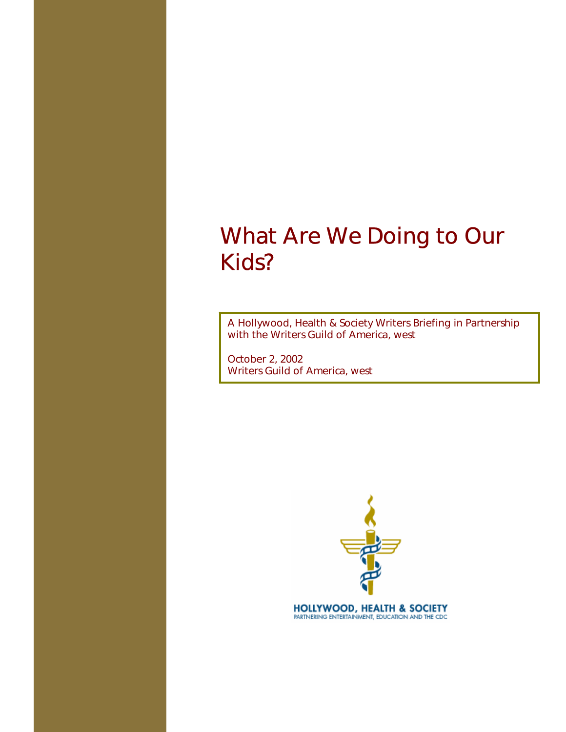A Hollywood, Health & Society Writers Briefing in Partnership with the Writers Guild of America, west

October 2, 2002 Writers Guild of America, west



**HOLLYWOOD, HEALTH & SOCIETY** PARTNERING ENTERTAINMENT, EDUCATION AND THE CDC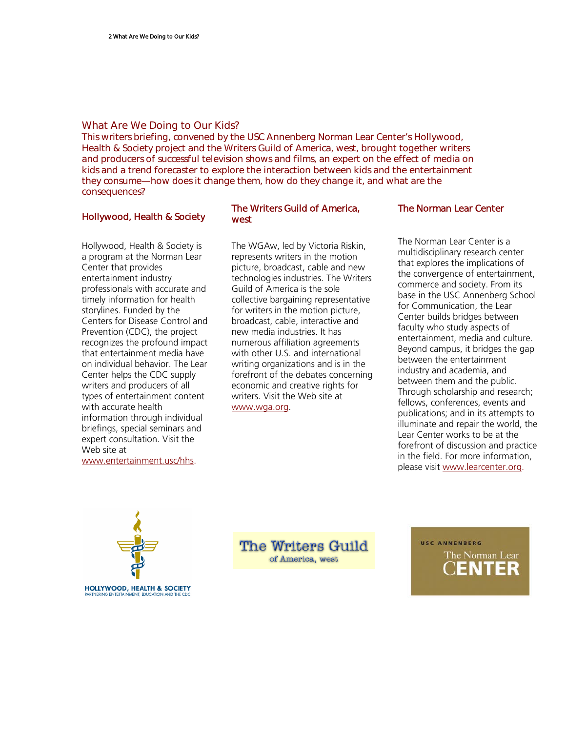This writers briefing, convened by the USC Annenberg Norman Lear Center's Hollywood, Health & Society project and the Writers Guild of America, west, brought together writers and producers of successful television shows and films, an expert on the effect of media on kids and a trend forecaster to explore the interaction between kids and the entertainment they consume—how does it change them, how do they change it, and what are the consequences?

# Hollywood, Health & Society

Hollywood, Health & Society is a program at the Norman Lear Center that provides entertainment industry professionals with accurate and timely information for health storylines. Funded by the Centers for Disease Control and Prevention (CDC), the project recognizes the profound impact that entertainment media have on individual behavior. The Lear Center helps the CDC supply writers and producers of all types of entertainment content with accurate health information through individual briefings, special seminars and expert consultation. Visit the Web site at www.entertainment.usc/hhs.

# The Writers Guild of America, west

The WGAw, led by Victoria Riskin, represents writers in the motion picture, broadcast, cable and new technologies industries. The Writers Guild of America is the sole collective bargaining representative for writers in the motion picture, broadcast, cable, interactive and new media industries. It has numerous affiliation agreements with other U.S. and international writing organizations and is in the forefront of the debates concerning economic and creative rights for writers. Visit the Web site at www.wga.org.

## The Norman Lear Center

The Norman Lear Center is a multidisciplinary research center that explores the implications of the convergence of entertainment, commerce and society. From its base in the USC Annenberg School for Communication, the Lear Center builds bridges between faculty who study aspects of entertainment, media and culture. Beyond campus, it bridges the gap between the entertainment industry and academia, and between them and the public. Through scholarship and research; fellows, conferences, events and publications; and in its attempts to illuminate and repair the world, the Lear Center works to be at the forefront of discussion and practice in the field. For more information, please visit www.learcenter.org.



**The Writers Guild** of America, west

USC ANNENBERG The Norman Lear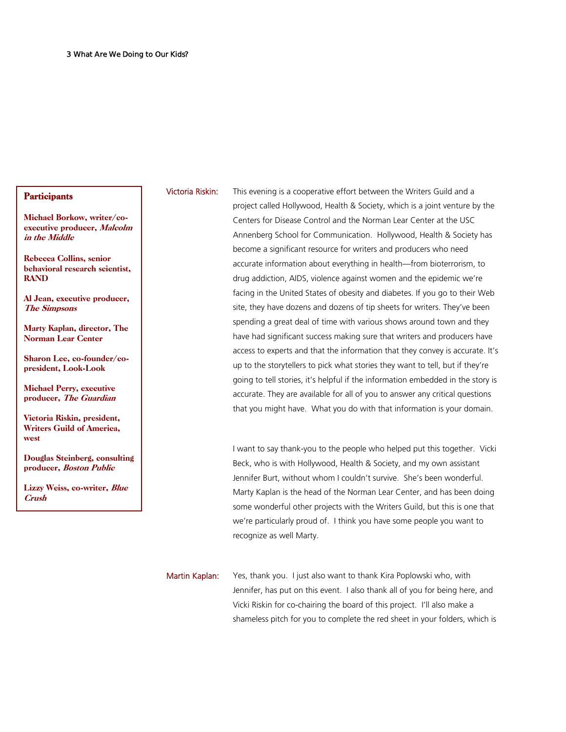### **Participants**

Michael Borkow, writer/coexecutive producer, Malcolm in the Middle

Rebecca Collins, senior behavioral research scientist, RAND

Al Jean, executive producer, The Simpsons

Marty Kaplan, director, The Norman Lear Center

Sharon Lee, co-founder/copresident, Look-Look

Michael Perry, executive producer, The Guardian

Victoria Riskin, president, Writers Guild of America, west

Douglas Steinberg, consulting producer, Boston Public

Lizzy Weiss, co-writer, Blue Crush

Victoria Riskin: This evening is a cooperative effort between the Writers Guild and a project called Hollywood, Health & Society, which is a joint venture by the Centers for Disease Control and the Norman Lear Center at the USC Annenberg School for Communication. Hollywood, Health & Society has become a significant resource for writers and producers who need accurate information about everything in health—from bioterrorism, to drug addiction, AIDS, violence against women and the epidemic we're facing in the United States of obesity and diabetes. If you go to their Web site, they have dozens and dozens of tip sheets for writers. They've been spending a great deal of time with various shows around town and they have had significant success making sure that writers and producers have access to experts and that the information that they convey is accurate. It's up to the storytellers to pick what stories they want to tell, but if they're going to tell stories, it's helpful if the information embedded in the story is accurate. They are available for all of you to answer any critical questions that you might have. What you do with that information is your domain.

> I want to say thank-you to the people who helped put this together. Vicki Beck, who is with Hollywood, Health & Society, and my own assistant Jennifer Burt, without whom I couldn't survive. She's been wonderful. Marty Kaplan is the head of the Norman Lear Center, and has been doing some wonderful other projects with the Writers Guild, but this is one that we're particularly proud of. I think you have some people you want to recognize as well Marty.

Martin Kaplan: Yes, thank you. I just also want to thank Kira Poplowski who, with Jennifer, has put on this event. I also thank all of you for being here, and Vicki Riskin for co-chairing the board of this project. I'll also make a shameless pitch for you to complete the red sheet in your folders, which is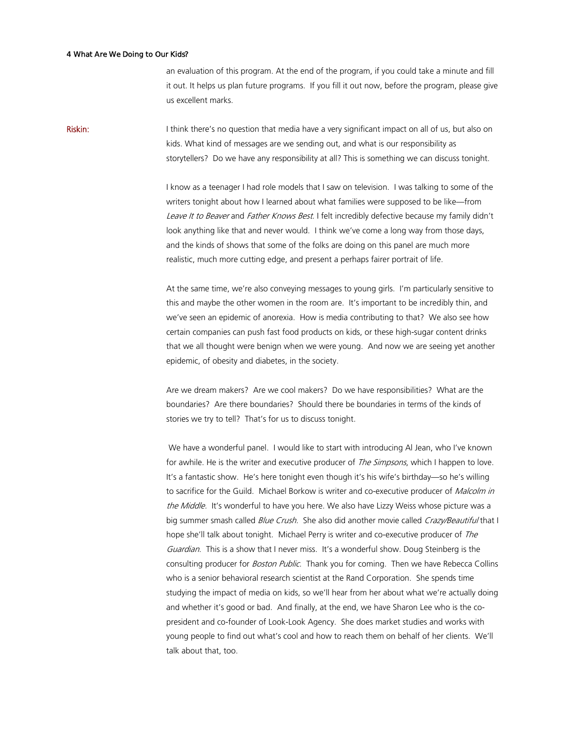an evaluation of this program. At the end of the program, if you could take a minute and fill it out. It helps us plan future programs. If you fill it out now, before the program, please give us excellent marks.

**Riskin:** I think there's no question that media have a very significant impact on all of us, but also on kids. What kind of messages are we sending out, and what is our responsibility as storytellers? Do we have any responsibility at all? This is something we can discuss tonight.

> I know as a teenager I had role models that I saw on television. I was talking to some of the writers tonight about how I learned about what families were supposed to be like—from Leave It to Beaver and Father Knows Best. I felt incredibly defective because my family didn't look anything like that and never would. I think we've come a long way from those days, and the kinds of shows that some of the folks are doing on this panel are much more realistic, much more cutting edge, and present a perhaps fairer portrait of life.

> At the same time, we're also conveying messages to young girls. I'm particularly sensitive to this and maybe the other women in the room are. It's important to be incredibly thin, and we've seen an epidemic of anorexia. How is media contributing to that? We also see how certain companies can push fast food products on kids, or these high-sugar content drinks that we all thought were benign when we were young. And now we are seeing yet another epidemic, of obesity and diabetes, in the society.

Are we dream makers? Are we cool makers? Do we have responsibilities? What are the boundaries? Are there boundaries? Should there be boundaries in terms of the kinds of stories we try to tell? That's for us to discuss tonight.

 We have a wonderful panel. I would like to start with introducing Al Jean, who I've known for awhile. He is the writer and executive producer of *The Simpsons*, which I happen to love. It's a fantastic show. He's here tonight even though it's his wife's birthday—so he's willing to sacrifice for the Guild. Michael Borkow is writer and co-executive producer of Malcolm in the Middle. It's wonderful to have you here. We also have Lizzy Weiss whose picture was a big summer smash called *Blue Crush*. She also did another movie called *Crazy/Beautiful* that I hope she'll talk about tonight. Michael Perry is writer and co-executive producer of The Guardian. This is a show that I never miss. It's a wonderful show. Doug Steinberg is the consulting producer for Boston Public. Thank you for coming. Then we have Rebecca Collins who is a senior behavioral research scientist at the Rand Corporation. She spends time studying the impact of media on kids, so we'll hear from her about what we're actually doing and whether it's good or bad. And finally, at the end, we have Sharon Lee who is the copresident and co-founder of Look-Look Agency. She does market studies and works with young people to find out what's cool and how to reach them on behalf of her clients. We'll talk about that, too.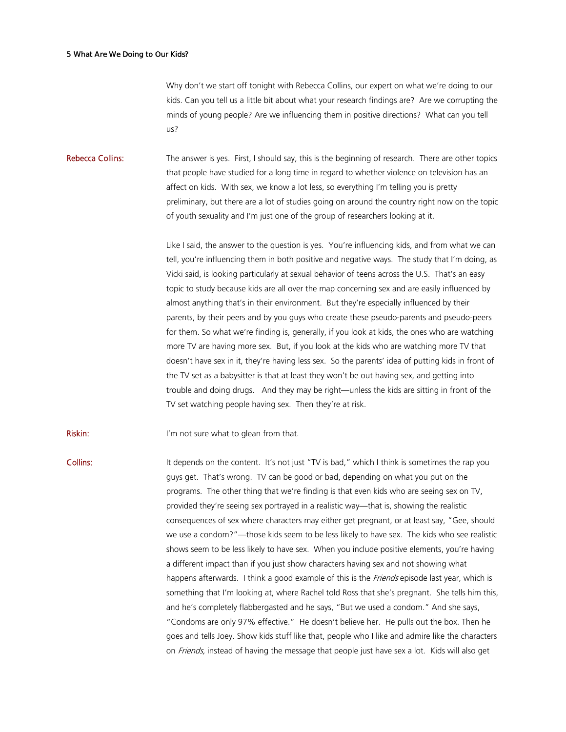Why don't we start off tonight with Rebecca Collins, our expert on what we're doing to our kids. Can you tell us a little bit about what your research findings are? Are we corrupting the minds of young people? Are we influencing them in positive directions? What can you tell us?

Rebecca Collins: The answer is yes. First, I should say, this is the beginning of research. There are other topics that people have studied for a long time in regard to whether violence on television has an affect on kids. With sex, we know a lot less, so everything I'm telling you is pretty preliminary, but there are a lot of studies going on around the country right now on the topic of youth sexuality and I'm just one of the group of researchers looking at it.

> Like I said, the answer to the question is yes. You're influencing kids, and from what we can tell, you're influencing them in both positive and negative ways. The study that I'm doing, as Vicki said, is looking particularly at sexual behavior of teens across the U.S. That's an easy topic to study because kids are all over the map concerning sex and are easily influenced by almost anything that's in their environment. But they're especially influenced by their parents, by their peers and by you guys who create these pseudo-parents and pseudo-peers for them. So what we're finding is, generally, if you look at kids, the ones who are watching more TV are having more sex. But, if you look at the kids who are watching more TV that doesn't have sex in it, they're having less sex. So the parents' idea of putting kids in front of the TV set as a babysitter is that at least they won't be out having sex, and getting into trouble and doing drugs. And they may be right—unless the kids are sitting in front of the TV set watching people having sex. Then they're at risk.

**Riskin:** I'm not sure what to glean from that.

Collins: It depends on the content. It's not just "TV is bad," which I think is sometimes the rap you guys get. That's wrong. TV can be good or bad, depending on what you put on the programs. The other thing that we're finding is that even kids who are seeing sex on TV, provided they're seeing sex portrayed in a realistic way—that is, showing the realistic consequences of sex where characters may either get pregnant, or at least say, "Gee, should we use a condom?"—those kids seem to be less likely to have sex. The kids who see realistic shows seem to be less likely to have sex. When you include positive elements, you're having a different impact than if you just show characters having sex and not showing what happens afterwards. I think a good example of this is the Friends episode last year, which is something that I'm looking at, where Rachel told Ross that she's pregnant. She tells him this, and he's completely flabbergasted and he says, "But we used a condom." And she says, "Condoms are only 97% effective." He doesn't believe her. He pulls out the box. Then he goes and tells Joey. Show kids stuff like that, people who I like and admire like the characters on Friends, instead of having the message that people just have sex a lot. Kids will also get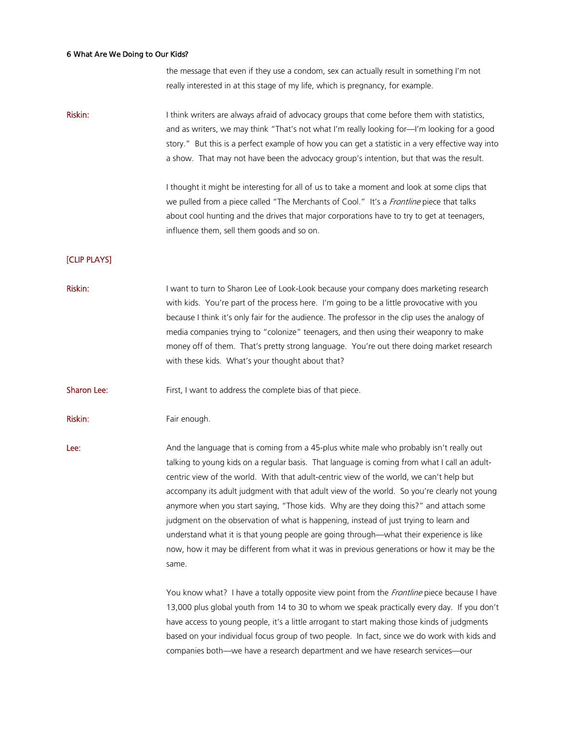the message that even if they use a condom, sex can actually result in something I'm not really interested in at this stage of my life, which is pregnancy, for example.

Riskin: I think writers are always afraid of advocacy groups that come before them with statistics, and as writers, we may think "That's not what I'm really looking for—I'm looking for a good story." But this is a perfect example of how you can get a statistic in a very effective way into a show. That may not have been the advocacy group's intention, but that was the result.

> I thought it might be interesting for all of us to take a moment and look at some clips that we pulled from a piece called "The Merchants of Cool." It's a Frontline piece that talks about cool hunting and the drives that major corporations have to try to get at teenagers, influence them, sell them goods and so on.

# [CLIP PLAYS]

Riskin: I want to turn to Sharon Lee of Look-Look because your company does marketing research with kids. You're part of the process here. I'm going to be a little provocative with you because I think it's only fair for the audience. The professor in the clip uses the analogy of media companies trying to "colonize" teenagers, and then using their weaponry to make money off of them. That's pretty strong language. You're out there doing market research with these kids. What's your thought about that?

**Sharon Lee:** First, I want to address the complete bias of that piece.

Riskin: Fair enough.

Lee: And the language that is coming from a 45-plus white male who probably isn't really out talking to young kids on a regular basis. That language is coming from what I call an adultcentric view of the world. With that adult-centric view of the world, we can't help but accompany its adult judgment with that adult view of the world. So you're clearly not young anymore when you start saying, "Those kids. Why are they doing this?" and attach some judgment on the observation of what is happening, instead of just trying to learn and understand what it is that young people are going through—what their experience is like now, how it may be different from what it was in previous generations or how it may be the same.

> You know what? I have a totally opposite view point from the *Frontline* piece because I have 13,000 plus global youth from 14 to 30 to whom we speak practically every day. If you don't have access to young people, it's a little arrogant to start making those kinds of judgments based on your individual focus group of two people. In fact, since we do work with kids and companies both—we have a research department and we have research services—our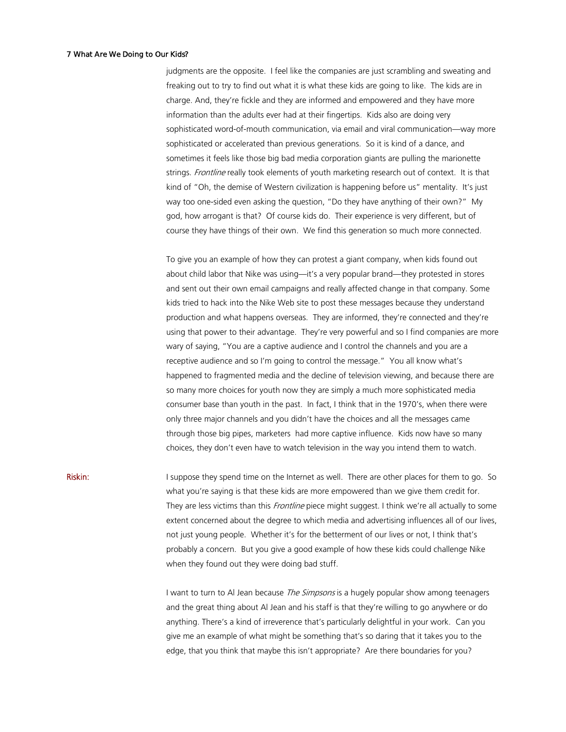judgments are the opposite. I feel like the companies are just scrambling and sweating and freaking out to try to find out what it is what these kids are going to like. The kids are in charge. And, they're fickle and they are informed and empowered and they have more information than the adults ever had at their fingertips. Kids also are doing very sophisticated word-of-mouth communication, via email and viral communication—way more sophisticated or accelerated than previous generations. So it is kind of a dance, and sometimes it feels like those big bad media corporation giants are pulling the marionette strings. Frontline really took elements of youth marketing research out of context. It is that kind of "Oh, the demise of Western civilization is happening before us" mentality. It's just way too one-sided even asking the question, "Do they have anything of their own?" My god, how arrogant is that? Of course kids do. Their experience is very different, but of course they have things of their own. We find this generation so much more connected.

To give you an example of how they can protest a giant company, when kids found out about child labor that Nike was using—it's a very popular brand—they protested in stores and sent out their own email campaigns and really affected change in that company. Some kids tried to hack into the Nike Web site to post these messages because they understand production and what happens overseas. They are informed, they're connected and they're using that power to their advantage. They're very powerful and so I find companies are more wary of saying, "You are a captive audience and I control the channels and you are a receptive audience and so I'm going to control the message." You all know what's happened to fragmented media and the decline of television viewing, and because there are so many more choices for youth now they are simply a much more sophisticated media consumer base than youth in the past. In fact, I think that in the 1970's, when there were only three major channels and you didn't have the choices and all the messages came through those big pipes, marketers had more captive influence. Kids now have so many choices, they don't even have to watch television in the way you intend them to watch.

Riskin: I suppose they spend time on the Internet as well. There are other places for them to go. So what you're saying is that these kids are more empowered than we give them credit for. They are less victims than this *Frontline* piece might suggest. I think we're all actually to some extent concerned about the degree to which media and advertising influences all of our lives, not just young people. Whether it's for the betterment of our lives or not, I think that's probably a concern. But you give a good example of how these kids could challenge Nike when they found out they were doing bad stuff.

> I want to turn to AI Jean because *The Simpsons* is a hugely popular show among teenagers and the great thing about Al Jean and his staff is that they're willing to go anywhere or do anything. There's a kind of irreverence that's particularly delightful in your work. Can you give me an example of what might be something that's so daring that it takes you to the edge, that you think that maybe this isn't appropriate? Are there boundaries for you?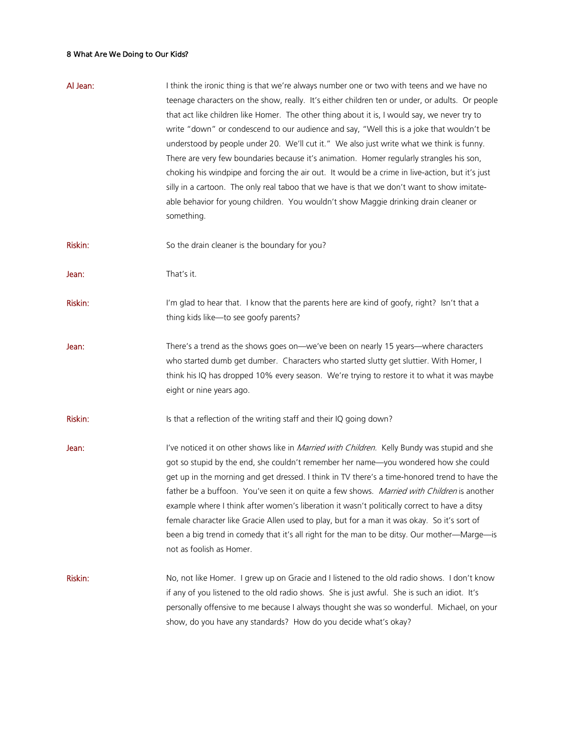| Al Jean: | I think the ironic thing is that we're always number one or two with teens and we have no<br>teenage characters on the show, really. It's either children ten or under, or adults. Or people<br>that act like children like Homer. The other thing about it is, I would say, we never try to<br>write "down" or condescend to our audience and say, "Well this is a joke that wouldn't be<br>understood by people under 20. We'll cut it." We also just write what we think is funny.<br>There are very few boundaries because it's animation. Homer regularly strangles his son,<br>choking his windpipe and forcing the air out. It would be a crime in live-action, but it's just<br>silly in a cartoon. The only real taboo that we have is that we don't want to show imitate-<br>able behavior for young children. You wouldn't show Maggie drinking drain cleaner or<br>something. |
|----------|-------------------------------------------------------------------------------------------------------------------------------------------------------------------------------------------------------------------------------------------------------------------------------------------------------------------------------------------------------------------------------------------------------------------------------------------------------------------------------------------------------------------------------------------------------------------------------------------------------------------------------------------------------------------------------------------------------------------------------------------------------------------------------------------------------------------------------------------------------------------------------------------|
| Riskin:  | So the drain cleaner is the boundary for you?                                                                                                                                                                                                                                                                                                                                                                                                                                                                                                                                                                                                                                                                                                                                                                                                                                             |
| Jean:    | That's it.                                                                                                                                                                                                                                                                                                                                                                                                                                                                                                                                                                                                                                                                                                                                                                                                                                                                                |
| Riskin:  | I'm glad to hear that. I know that the parents here are kind of goofy, right? Isn't that a<br>thing kids like-to see goofy parents?                                                                                                                                                                                                                                                                                                                                                                                                                                                                                                                                                                                                                                                                                                                                                       |
| Jean:    | There's a trend as the shows goes on—we've been on nearly 15 years—where characters<br>who started dumb get dumber. Characters who started slutty get sluttier. With Homer, I<br>think his IQ has dropped 10% every season. We're trying to restore it to what it was maybe<br>eight or nine years ago.                                                                                                                                                                                                                                                                                                                                                                                                                                                                                                                                                                                   |
| Riskin:  | Is that a reflection of the writing staff and their IQ going down?                                                                                                                                                                                                                                                                                                                                                                                                                                                                                                                                                                                                                                                                                                                                                                                                                        |
| Jean:    | I've noticed it on other shows like in Married with Children. Kelly Bundy was stupid and she<br>got so stupid by the end, she couldn't remember her name-you wondered how she could<br>get up in the morning and get dressed. I think in TV there's a time-honored trend to have the<br>father be a buffoon. You've seen it on quite a few shows. Married with Children is another<br>example where I think after women's liberation it wasn't politically correct to have a ditsy<br>female character like Gracie Allen used to play, but for a man it was okay. So it's sort of<br>been a big trend in comedy that it's all right for the man to be ditsy. Our mother—Marge—is<br>not as foolish as Homer.                                                                                                                                                                              |
| Riskin:  | No, not like Homer. I grew up on Gracie and I listened to the old radio shows. I don't know<br>if any of you listened to the old radio shows. She is just awful. She is such an idiot. It's<br>personally offensive to me because I always thought she was so wonderful. Michael, on your<br>show, do you have any standards? How do you decide what's okay?                                                                                                                                                                                                                                                                                                                                                                                                                                                                                                                              |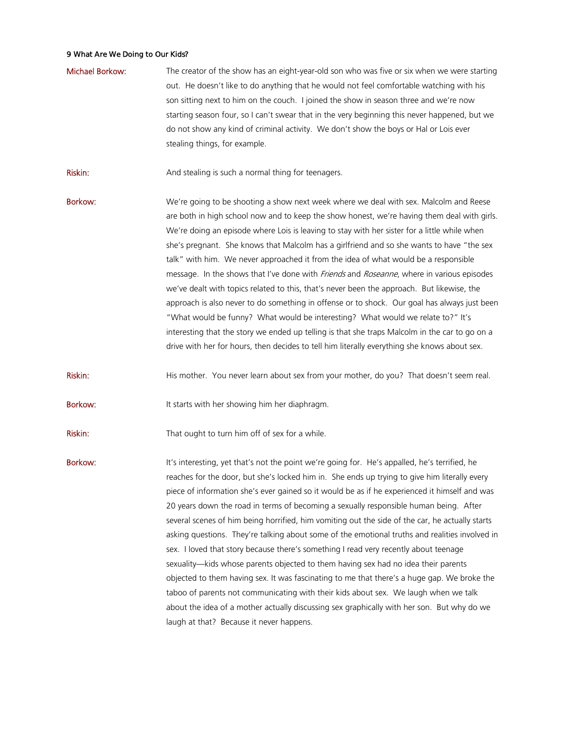- Michael Borkow: The creator of the show has an eight-year-old son who was five or six when we were starting out. He doesn't like to do anything that he would not feel comfortable watching with his son sitting next to him on the couch. I joined the show in season three and we're now starting season four, so I can't swear that in the very beginning this never happened, but we do not show any kind of criminal activity. We don't show the boys or Hal or Lois ever stealing things, for example.
- Riskin: And stealing is such a normal thing for teenagers.
- Borkow: We're going to be shooting a show next week where we deal with sex. Malcolm and Reese are both in high school now and to keep the show honest, we're having them deal with girls. We're doing an episode where Lois is leaving to stay with her sister for a little while when she's pregnant. She knows that Malcolm has a girlfriend and so she wants to have "the sex talk" with him. We never approached it from the idea of what would be a responsible message. In the shows that I've done with Friends and Roseanne, where in various episodes we've dealt with topics related to this, that's never been the approach. But likewise, the approach is also never to do something in offense or to shock. Our goal has always just been "What would be funny? What would be interesting? What would we relate to?" It's interesting that the story we ended up telling is that she traps Malcolm in the car to go on a drive with her for hours, then decides to tell him literally everything she knows about sex.
- Riskin: His mother. You never learn about sex from your mother, do you? That doesn't seem real.
- Borkow: It starts with her showing him her diaphragm.
- Riskin: That ought to turn him off of sex for a while.

Borkow: It's interesting, yet that's not the point we're going for. He's appalled, he's terrified, he reaches for the door, but she's locked him in. She ends up trying to give him literally every piece of information she's ever gained so it would be as if he experienced it himself and was 20 years down the road in terms of becoming a sexually responsible human being. After several scenes of him being horrified, him vomiting out the side of the car, he actually starts asking questions. They're talking about some of the emotional truths and realities involved in sex. I loved that story because there's something I read very recently about teenage sexuality—kids whose parents objected to them having sex had no idea their parents objected to them having sex. It was fascinating to me that there's a huge gap. We broke the taboo of parents not communicating with their kids about sex. We laugh when we talk about the idea of a mother actually discussing sex graphically with her son. But why do we laugh at that? Because it never happens.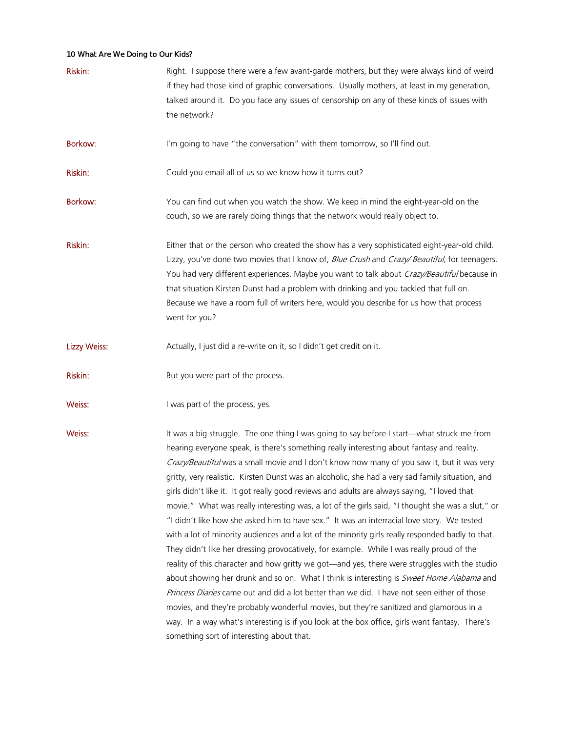| Riskin:             | Right. I suppose there were a few avant-garde mothers, but they were always kind of weird<br>if they had those kind of graphic conversations. Usually mothers, at least in my generation,<br>talked around it. Do you face any issues of censorship on any of these kinds of issues with<br>the network?                                                                                                                                                                                                                                                                                                                                                                                                                                                                                                                                                                                                                                                                                                                                                                                                                                                                                                                                                                                                                                                                                                                            |
|---------------------|-------------------------------------------------------------------------------------------------------------------------------------------------------------------------------------------------------------------------------------------------------------------------------------------------------------------------------------------------------------------------------------------------------------------------------------------------------------------------------------------------------------------------------------------------------------------------------------------------------------------------------------------------------------------------------------------------------------------------------------------------------------------------------------------------------------------------------------------------------------------------------------------------------------------------------------------------------------------------------------------------------------------------------------------------------------------------------------------------------------------------------------------------------------------------------------------------------------------------------------------------------------------------------------------------------------------------------------------------------------------------------------------------------------------------------------|
| <b>Borkow:</b>      | I'm going to have "the conversation" with them tomorrow, so I'll find out.                                                                                                                                                                                                                                                                                                                                                                                                                                                                                                                                                                                                                                                                                                                                                                                                                                                                                                                                                                                                                                                                                                                                                                                                                                                                                                                                                          |
| Riskin:             | Could you email all of us so we know how it turns out?                                                                                                                                                                                                                                                                                                                                                                                                                                                                                                                                                                                                                                                                                                                                                                                                                                                                                                                                                                                                                                                                                                                                                                                                                                                                                                                                                                              |
| <b>Borkow:</b>      | You can find out when you watch the show. We keep in mind the eight-year-old on the<br>couch, so we are rarely doing things that the network would really object to.                                                                                                                                                                                                                                                                                                                                                                                                                                                                                                                                                                                                                                                                                                                                                                                                                                                                                                                                                                                                                                                                                                                                                                                                                                                                |
| Riskin:             | Either that or the person who created the show has a very sophisticated eight-year-old child.<br>Lizzy, you've done two movies that I know of, Blue Crush and Crazy/ Beautiful, for teenagers.<br>You had very different experiences. Maybe you want to talk about Crazy/Beautiful because in<br>that situation Kirsten Dunst had a problem with drinking and you tackled that full on.<br>Because we have a room full of writers here, would you describe for us how that process<br>went for you?                                                                                                                                                                                                                                                                                                                                                                                                                                                                                                                                                                                                                                                                                                                                                                                                                                                                                                                                 |
| <b>Lizzy Weiss:</b> | Actually, I just did a re-write on it, so I didn't get credit on it.                                                                                                                                                                                                                                                                                                                                                                                                                                                                                                                                                                                                                                                                                                                                                                                                                                                                                                                                                                                                                                                                                                                                                                                                                                                                                                                                                                |
| Riskin:             | But you were part of the process.                                                                                                                                                                                                                                                                                                                                                                                                                                                                                                                                                                                                                                                                                                                                                                                                                                                                                                                                                                                                                                                                                                                                                                                                                                                                                                                                                                                                   |
| Weiss:              | I was part of the process, yes.                                                                                                                                                                                                                                                                                                                                                                                                                                                                                                                                                                                                                                                                                                                                                                                                                                                                                                                                                                                                                                                                                                                                                                                                                                                                                                                                                                                                     |
| Weiss:              | It was a big struggle. The one thing I was going to say before I start—what struck me from<br>hearing everyone speak, is there's something really interesting about fantasy and reality.<br>Crazy/Beautiful was a small movie and I don't know how many of you saw it, but it was very<br>gritty, very realistic. Kirsten Dunst was an alcoholic, she had a very sad family situation, and<br>girls didn't like it. It got really good reviews and adults are always saying, "I loved that<br>movie." What was really interesting was, a lot of the girls said, "I thought she was a slut," or<br>"I didn't like how she asked him to have sex." It was an interracial love story. We tested<br>with a lot of minority audiences and a lot of the minority girls really responded badly to that.<br>They didn't like her dressing provocatively, for example. While I was really proud of the<br>reality of this character and how gritty we got—and yes, there were struggles with the studio<br>about showing her drunk and so on. What I think is interesting is Sweet Home Alabama and<br>Princess Diaries came out and did a lot better than we did. I have not seen either of those<br>movies, and they're probably wonderful movies, but they're sanitized and glamorous in a<br>way. In a way what's interesting is if you look at the box office, girls want fantasy. There's<br>something sort of interesting about that. |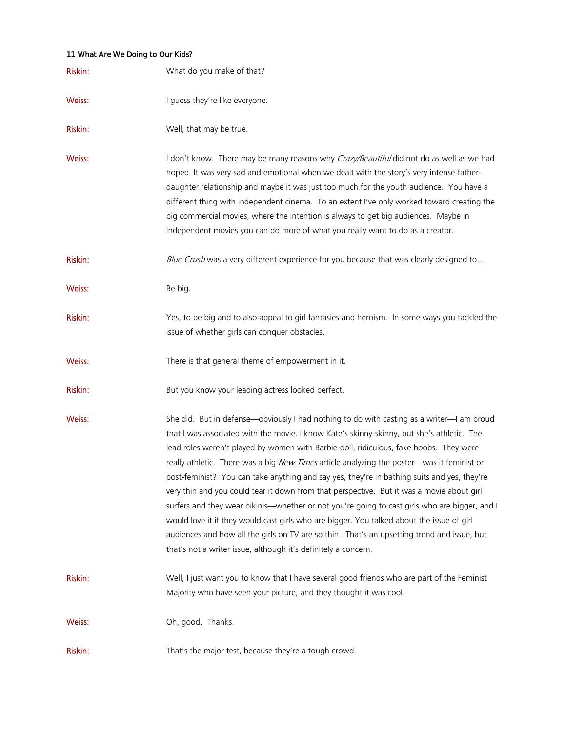| Riskin: | What do you make of that?                                                                                                                                                                                                                                                                                                                                                                                                                                                                                                                                                                                                                                                                                                                                                                                                                                                                                                                  |
|---------|--------------------------------------------------------------------------------------------------------------------------------------------------------------------------------------------------------------------------------------------------------------------------------------------------------------------------------------------------------------------------------------------------------------------------------------------------------------------------------------------------------------------------------------------------------------------------------------------------------------------------------------------------------------------------------------------------------------------------------------------------------------------------------------------------------------------------------------------------------------------------------------------------------------------------------------------|
| Weiss:  | I guess they're like everyone.                                                                                                                                                                                                                                                                                                                                                                                                                                                                                                                                                                                                                                                                                                                                                                                                                                                                                                             |
| Riskin: | Well, that may be true.                                                                                                                                                                                                                                                                                                                                                                                                                                                                                                                                                                                                                                                                                                                                                                                                                                                                                                                    |
| Weiss:  | I don't know. There may be many reasons why Crazy/Beautiful did not do as well as we had<br>hoped. It was very sad and emotional when we dealt with the story's very intense father-<br>daughter relationship and maybe it was just too much for the youth audience. You have a<br>different thing with independent cinema. To an extent I've only worked toward creating the<br>big commercial movies, where the intention is always to get big audiences. Maybe in<br>independent movies you can do more of what you really want to do as a creator.                                                                                                                                                                                                                                                                                                                                                                                     |
| Riskin: | Blue Crush was a very different experience for you because that was clearly designed to                                                                                                                                                                                                                                                                                                                                                                                                                                                                                                                                                                                                                                                                                                                                                                                                                                                    |
| Weiss:  | Be big.                                                                                                                                                                                                                                                                                                                                                                                                                                                                                                                                                                                                                                                                                                                                                                                                                                                                                                                                    |
| Riskin: | Yes, to be big and to also appeal to girl fantasies and heroism. In some ways you tackled the<br>issue of whether girls can conquer obstacles.                                                                                                                                                                                                                                                                                                                                                                                                                                                                                                                                                                                                                                                                                                                                                                                             |
| Weiss:  | There is that general theme of empowerment in it.                                                                                                                                                                                                                                                                                                                                                                                                                                                                                                                                                                                                                                                                                                                                                                                                                                                                                          |
| Riskin: | But you know your leading actress looked perfect.                                                                                                                                                                                                                                                                                                                                                                                                                                                                                                                                                                                                                                                                                                                                                                                                                                                                                          |
| Weiss:  | She did. But in defense—obviously I had nothing to do with casting as a writer—I am proud<br>that I was associated with the movie. I know Kate's skinny-skinny, but she's athletic. The<br>lead roles weren't played by women with Barbie-doll, ridiculous, fake boobs. They were<br>really athletic. There was a big New Times article analyzing the poster—was it feminist or<br>post-feminist? You can take anything and say yes, they're in bathing suits and yes, they're<br>very thin and you could tear it down from that perspective. But it was a movie about girl<br>surfers and they wear bikinis—whether or not you're going to cast girls who are bigger, and I<br>would love it if they would cast girls who are bigger. You talked about the issue of girl<br>audiences and how all the girls on TV are so thin. That's an upsetting trend and issue, but<br>that's not a writer issue, although it's definitely a concern. |
| Riskin: | Well, I just want you to know that I have several good friends who are part of the Feminist<br>Majority who have seen your picture, and they thought it was cool.                                                                                                                                                                                                                                                                                                                                                                                                                                                                                                                                                                                                                                                                                                                                                                          |
| Weiss:  | Oh, good. Thanks.                                                                                                                                                                                                                                                                                                                                                                                                                                                                                                                                                                                                                                                                                                                                                                                                                                                                                                                          |
| Riskin: | That's the major test, because they're a tough crowd.                                                                                                                                                                                                                                                                                                                                                                                                                                                                                                                                                                                                                                                                                                                                                                                                                                                                                      |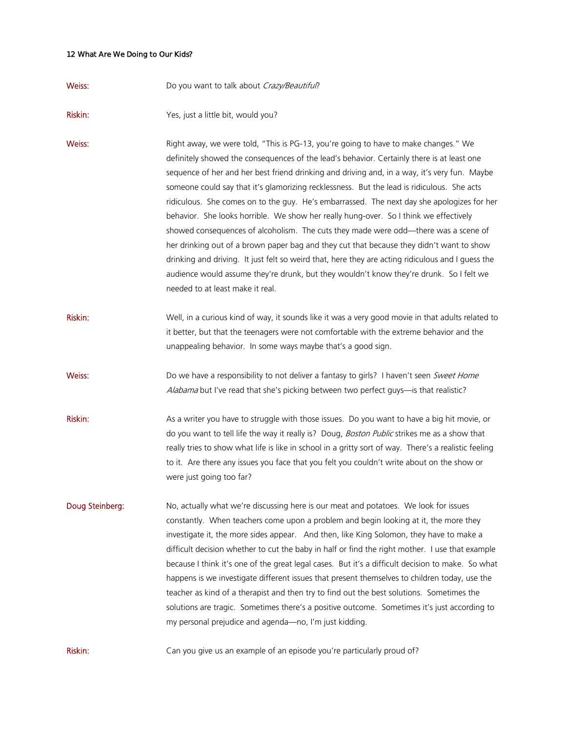| Weiss:          | Do you want to talk about Crazy/Beautiful?                                                                                                                                                                                                                                                                                                                                                                                                                                                                                                                                                                                                                                                                                                                                                                                                                                                                                                                                                    |
|-----------------|-----------------------------------------------------------------------------------------------------------------------------------------------------------------------------------------------------------------------------------------------------------------------------------------------------------------------------------------------------------------------------------------------------------------------------------------------------------------------------------------------------------------------------------------------------------------------------------------------------------------------------------------------------------------------------------------------------------------------------------------------------------------------------------------------------------------------------------------------------------------------------------------------------------------------------------------------------------------------------------------------|
| Riskin:         | Yes, just a little bit, would you?                                                                                                                                                                                                                                                                                                                                                                                                                                                                                                                                                                                                                                                                                                                                                                                                                                                                                                                                                            |
| Weiss:          | Right away, we were told, "This is PG-13, you're going to have to make changes." We<br>definitely showed the consequences of the lead's behavior. Certainly there is at least one<br>sequence of her and her best friend drinking and driving and, in a way, it's very fun. Maybe<br>someone could say that it's glamorizing recklessness. But the lead is ridiculous. She acts<br>ridiculous. She comes on to the guy. He's embarrassed. The next day she apologizes for her<br>behavior. She looks horrible. We show her really hung-over. So I think we effectively<br>showed consequences of alcoholism. The cuts they made were odd—there was a scene of<br>her drinking out of a brown paper bag and they cut that because they didn't want to show<br>drinking and driving. It just felt so weird that, here they are acting ridiculous and I guess the<br>audience would assume they're drunk, but they wouldn't know they're drunk. So I felt we<br>needed to at least make it real. |
| Riskin:         | Well, in a curious kind of way, it sounds like it was a very good movie in that adults related to<br>it better, but that the teenagers were not comfortable with the extreme behavior and the<br>unappealing behavior. In some ways maybe that's a good sign.                                                                                                                                                                                                                                                                                                                                                                                                                                                                                                                                                                                                                                                                                                                                 |
| Weiss:          | Do we have a responsibility to not deliver a fantasy to girls? I haven't seen Sweet Home<br>Alabama but I've read that she's picking between two perfect guys-is that realistic?                                                                                                                                                                                                                                                                                                                                                                                                                                                                                                                                                                                                                                                                                                                                                                                                              |
| Riskin:         | As a writer you have to struggle with those issues. Do you want to have a big hit movie, or<br>do you want to tell life the way it really is? Doug, Boston Public strikes me as a show that<br>really tries to show what life is like in school in a gritty sort of way. There's a realistic feeling<br>to it. Are there any issues you face that you felt you couldn't write about on the show or<br>were just going too far?                                                                                                                                                                                                                                                                                                                                                                                                                                                                                                                                                                |
| Doug Steinberg: | No, actually what we're discussing here is our meat and potatoes. We look for issues<br>constantly. When teachers come upon a problem and begin looking at it, the more they<br>investigate it, the more sides appear. And then, like King Solomon, they have to make a<br>difficult decision whether to cut the baby in half or find the right mother. I use that example<br>because I think it's one of the great legal cases. But it's a difficult decision to make. So what<br>happens is we investigate different issues that present themselves to children today, use the<br>teacher as kind of a therapist and then try to find out the best solutions. Sometimes the<br>solutions are tragic. Sometimes there's a positive outcome. Sometimes it's just according to<br>my personal prejudice and agenda-no, I'm just kidding.                                                                                                                                                       |
| Riskin:         | Can you give us an example of an episode you're particularly proud of?                                                                                                                                                                                                                                                                                                                                                                                                                                                                                                                                                                                                                                                                                                                                                                                                                                                                                                                        |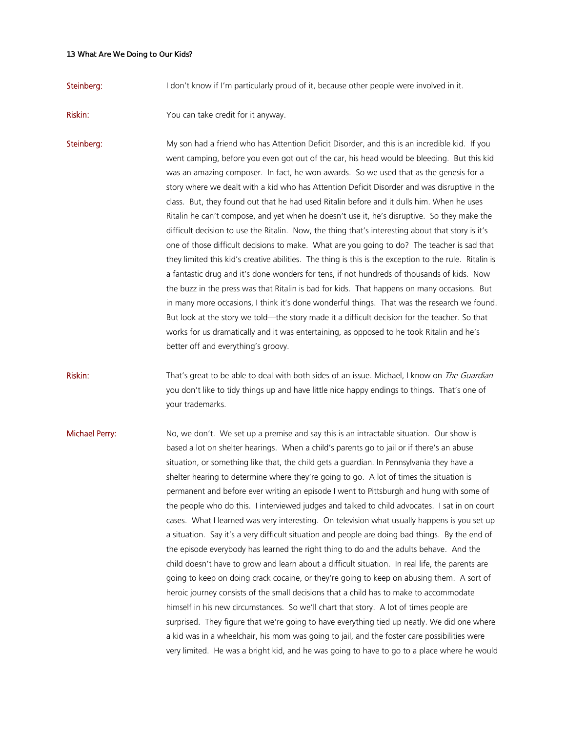Steinberg: I don't know if I'm particularly proud of it, because other people were involved in it.

**Riskin:** You can take credit for it anyway.

Steinberg: My son had a friend who has Attention Deficit Disorder, and this is an incredible kid. If you went camping, before you even got out of the car, his head would be bleeding. But this kid was an amazing composer. In fact, he won awards. So we used that as the genesis for a story where we dealt with a kid who has Attention Deficit Disorder and was disruptive in the class. But, they found out that he had used Ritalin before and it dulls him. When he uses Ritalin he can't compose, and yet when he doesn't use it, he's disruptive. So they make the difficult decision to use the Ritalin. Now, the thing that's interesting about that story is it's one of those difficult decisions to make. What are you going to do? The teacher is sad that they limited this kid's creative abilities. The thing is this is the exception to the rule. Ritalin is a fantastic drug and it's done wonders for tens, if not hundreds of thousands of kids. Now the buzz in the press was that Ritalin is bad for kids. That happens on many occasions. But in many more occasions, I think it's done wonderful things. That was the research we found. But look at the story we told—the story made it a difficult decision for the teacher. So that works for us dramatically and it was entertaining, as opposed to he took Ritalin and he's better off and everything's groovy.

Riskin: That's great to be able to deal with both sides of an issue. Michael, I know on The Guardian you don't like to tidy things up and have little nice happy endings to things. That's one of your trademarks.

**Michael Perry:** No, we don't. We set up a premise and say this is an intractable situation. Our show is based a lot on shelter hearings. When a child's parents go to jail or if there's an abuse situation, or something like that, the child gets a guardian. In Pennsylvania they have a shelter hearing to determine where they're going to go. A lot of times the situation is permanent and before ever writing an episode I went to Pittsburgh and hung with some of the people who do this. I interviewed judges and talked to child advocates. I sat in on court cases. What I learned was very interesting. On television what usually happens is you set up a situation. Say it's a very difficult situation and people are doing bad things. By the end of the episode everybody has learned the right thing to do and the adults behave. And the child doesn't have to grow and learn about a difficult situation. In real life, the parents are going to keep on doing crack cocaine, or they're going to keep on abusing them. A sort of heroic journey consists of the small decisions that a child has to make to accommodate himself in his new circumstances. So we'll chart that story. A lot of times people are surprised. They figure that we're going to have everything tied up neatly. We did one where a kid was in a wheelchair, his mom was going to jail, and the foster care possibilities were very limited. He was a bright kid, and he was going to have to go to a place where he would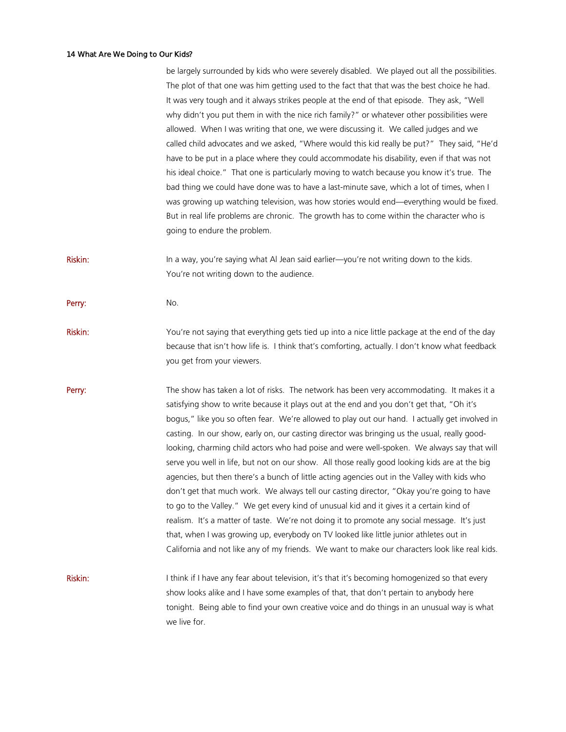|         | be largely surrounded by kids who were severely disabled. We played out all the possibilities.<br>The plot of that one was him getting used to the fact that that was the best choice he had.<br>It was very tough and it always strikes people at the end of that episode. They ask, "Well<br>why didn't you put them in with the nice rich family?" or whatever other possibilities were<br>allowed. When I was writing that one, we were discussing it. We called judges and we<br>called child advocates and we asked, "Where would this kid really be put?" They said, "He'd<br>have to be put in a place where they could accommodate his disability, even if that was not<br>his ideal choice." That one is particularly moving to watch because you know it's true. The<br>bad thing we could have done was to have a last-minute save, which a lot of times, when I<br>was growing up watching television, was how stories would end—everything would be fixed.<br>But in real life problems are chronic. The growth has to come within the character who is<br>going to endure the problem.                                                                         |
|---------|-------------------------------------------------------------------------------------------------------------------------------------------------------------------------------------------------------------------------------------------------------------------------------------------------------------------------------------------------------------------------------------------------------------------------------------------------------------------------------------------------------------------------------------------------------------------------------------------------------------------------------------------------------------------------------------------------------------------------------------------------------------------------------------------------------------------------------------------------------------------------------------------------------------------------------------------------------------------------------------------------------------------------------------------------------------------------------------------------------------------------------------------------------------------------------|
| Riskin: | In a way, you're saying what Al Jean said earlier-you're not writing down to the kids.<br>You're not writing down to the audience.                                                                                                                                                                                                                                                                                                                                                                                                                                                                                                                                                                                                                                                                                                                                                                                                                                                                                                                                                                                                                                            |
| Perry:  | No.                                                                                                                                                                                                                                                                                                                                                                                                                                                                                                                                                                                                                                                                                                                                                                                                                                                                                                                                                                                                                                                                                                                                                                           |
| Riskin: | You're not saying that everything gets tied up into a nice little package at the end of the day<br>because that isn't how life is. I think that's comforting, actually. I don't know what feedback<br>you get from your viewers.                                                                                                                                                                                                                                                                                                                                                                                                                                                                                                                                                                                                                                                                                                                                                                                                                                                                                                                                              |
| Perry:  | The show has taken a lot of risks. The network has been very accommodating. It makes it a<br>satisfying show to write because it plays out at the end and you don't get that, "Oh it's<br>bogus," like you so often fear. We're allowed to play out our hand. I actually get involved in<br>casting. In our show, early on, our casting director was bringing us the usual, really good-<br>looking, charming child actors who had poise and were well-spoken. We always say that will<br>serve you well in life, but not on our show. All those really good looking kids are at the big<br>agencies, but then there's a bunch of little acting agencies out in the Valley with kids who<br>don't get that much work. We always tell our casting director, "Okay you're going to have<br>to go to the Valley." We get every kind of unusual kid and it gives it a certain kind of<br>realism. It's a matter of taste. We're not doing it to promote any social message. It's just<br>that, when I was growing up, everybody on TV looked like little junior athletes out in<br>California and not like any of my friends. We want to make our characters look like real kids. |
| Riskin: | I think if I have any fear about television, it's that it's becoming homogenized so that every<br>show looks alike and I have some examples of that, that don't pertain to anybody here<br>tonight. Being able to find your own creative voice and do things in an unusual way is what<br>we live for.                                                                                                                                                                                                                                                                                                                                                                                                                                                                                                                                                                                                                                                                                                                                                                                                                                                                        |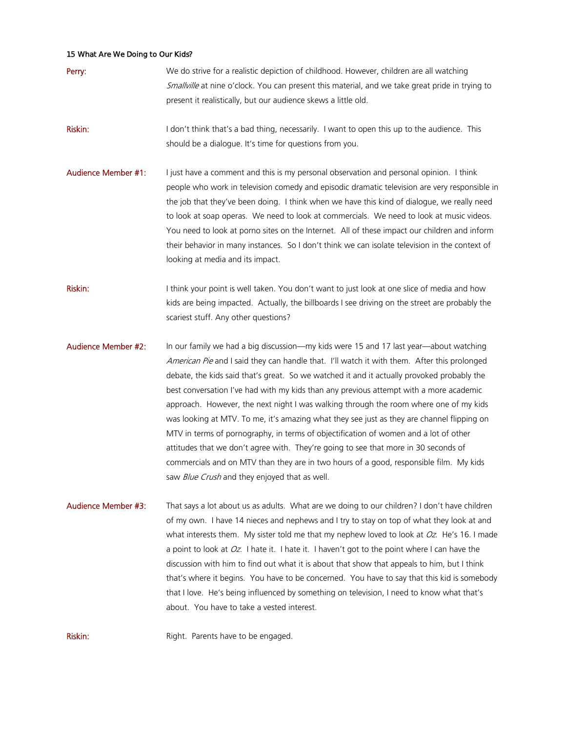- **Perry:** We do strive for a realistic depiction of childhood. However, children are all watching Smallville at nine o'clock. You can present this material, and we take great pride in trying to present it realistically, but our audience skews a little old.
- Riskin: I don't think that's a bad thing, necessarily. I want to open this up to the audience. This should be a dialogue. It's time for questions from you.
- Audience Member #1: I just have a comment and this is my personal observation and personal opinion. I think people who work in television comedy and episodic dramatic television are very responsible in the job that they've been doing. I think when we have this kind of dialogue, we really need to look at soap operas. We need to look at commercials. We need to look at music videos. You need to look at porno sites on the Internet. All of these impact our children and inform their behavior in many instances. So I don't think we can isolate television in the context of looking at media and its impact.
- Riskin: I think your point is well taken. You don't want to just look at one slice of media and how kids are being impacted. Actually, the billboards I see driving on the street are probably the scariest stuff. Any other questions?
- Audience Member #2: In our family we had a big discussion—my kids were 15 and 17 last year—about watching American Pie and I said they can handle that. I'll watch it with them. After this prolonged debate, the kids said that's great. So we watched it and it actually provoked probably the best conversation I've had with my kids than any previous attempt with a more academic approach. However, the next night I was walking through the room where one of my kids was looking at MTV. To me, it's amazing what they see just as they are channel flipping on MTV in terms of pornography, in terms of objectification of women and a lot of other attitudes that we don't agree with. They're going to see that more in 30 seconds of commercials and on MTV than they are in two hours of a good, responsible film. My kids saw *Blue Crush* and they enjoyed that as well.
- Audience Member #3: That says a lot about us as adults. What are we doing to our children? I don't have children of my own. I have 14 nieces and nephews and I try to stay on top of what they look at and what interests them. My sister told me that my nephew loved to look at  $Oz$ . He's 16. I made a point to look at  $Oz$ . I hate it. I hate it. I haven't got to the point where I can have the discussion with him to find out what it is about that show that appeals to him, but I think that's where it begins. You have to be concerned. You have to say that this kid is somebody that I love. He's being influenced by something on television, I need to know what that's about. You have to take a vested interest.

Riskin: Right. Parents have to be engaged.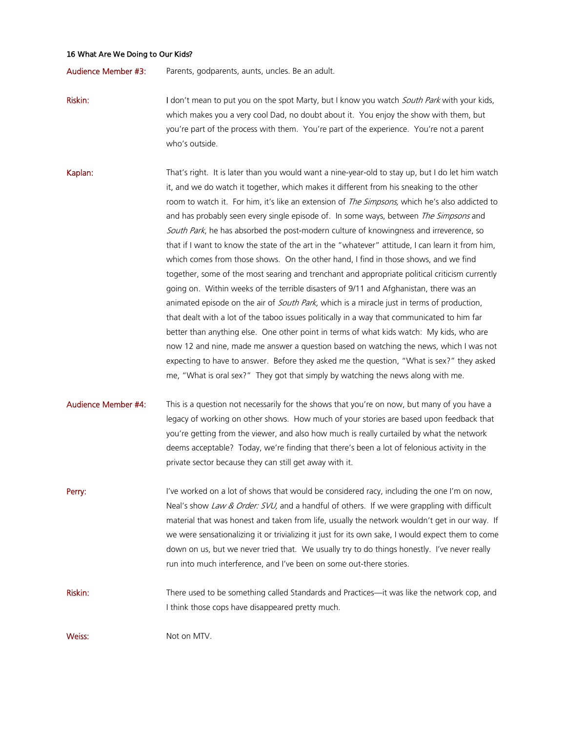Audience Member #3: Parents, godparents, aunts, uncles. Be an adult.

Riskin: I don't mean to put you on the spot Marty, but I know you watch *South Park* with your kids, which makes you a very cool Dad, no doubt about it. You enjoy the show with them, but you're part of the process with them. You're part of the experience. You're not a parent who's outside.

Kaplan: That's right. It is later than you would want a nine-year-old to stay up, but I do let him watch it, and we do watch it together, which makes it different from his sneaking to the other room to watch it. For him, it's like an extension of *The Simpsons*, which he's also addicted to and has probably seen every single episode of. In some ways, between *The Simpsons* and South Park, he has absorbed the post-modern culture of knowingness and irreverence, so that if I want to know the state of the art in the "whatever" attitude, I can learn it from him, which comes from those shows. On the other hand, I find in those shows, and we find together, some of the most searing and trenchant and appropriate political criticism currently going on. Within weeks of the terrible disasters of 9/11 and Afghanistan, there was an animated episode on the air of *South Park*, which is a miracle just in terms of production, that dealt with a lot of the taboo issues politically in a way that communicated to him far better than anything else. One other point in terms of what kids watch: My kids, who are now 12 and nine, made me answer a question based on watching the news, which I was not expecting to have to answer. Before they asked me the question, "What is sex?" they asked me, "What is oral sex?" They got that simply by watching the news along with me.

# Audience Member #4: This is a question not necessarily for the shows that you're on now, but many of you have a legacy of working on other shows. How much of your stories are based upon feedback that you're getting from the viewer, and also how much is really curtailed by what the network deems acceptable? Today, we're finding that there's been a lot of felonious activity in the private sector because they can still get away with it.

**Perry:** I've worked on a lot of shows that would be considered racy, including the one I'm on now, Neal's show Law & Order: SVU, and a handful of others. If we were grappling with difficult material that was honest and taken from life, usually the network wouldn't get in our way. If we were sensationalizing it or trivializing it just for its own sake, I would expect them to come down on us, but we never tried that. We usually try to do things honestly. I've never really run into much interference, and I've been on some out-there stories.

Riskin: There used to be something called Standards and Practices—it was like the network cop, and I think those cops have disappeared pretty much.

Weiss: Not on MTV.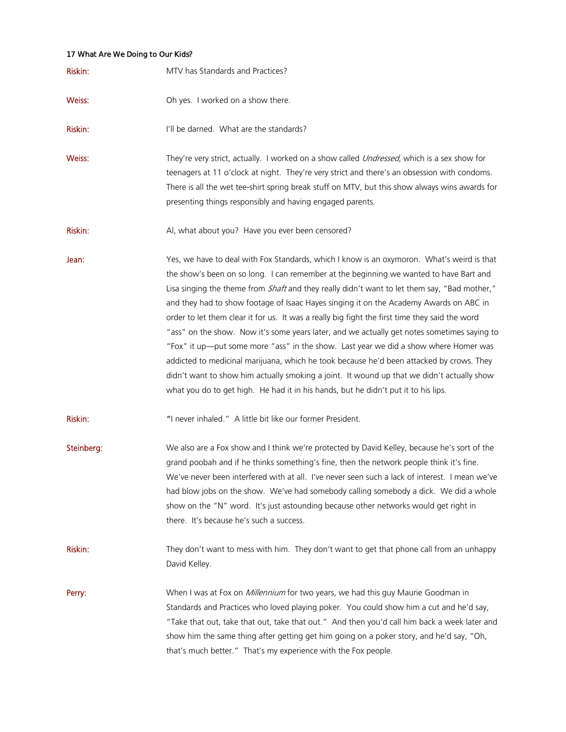| Riskin:    | MTV has Standards and Practices?                                                                                                                                                                                                                                                                                                                                                                                                                                                                                                                                                                                                                                                                                                                                                                                                                                                                                                                               |
|------------|----------------------------------------------------------------------------------------------------------------------------------------------------------------------------------------------------------------------------------------------------------------------------------------------------------------------------------------------------------------------------------------------------------------------------------------------------------------------------------------------------------------------------------------------------------------------------------------------------------------------------------------------------------------------------------------------------------------------------------------------------------------------------------------------------------------------------------------------------------------------------------------------------------------------------------------------------------------|
| Weiss:     | Oh yes. I worked on a show there.                                                                                                                                                                                                                                                                                                                                                                                                                                                                                                                                                                                                                                                                                                                                                                                                                                                                                                                              |
| Riskin:    | I'll be darned. What are the standards?                                                                                                                                                                                                                                                                                                                                                                                                                                                                                                                                                                                                                                                                                                                                                                                                                                                                                                                        |
| Weiss:     | They're very strict, actually. I worked on a show called <i>Undressed</i> , which is a sex show for<br>teenagers at 11 o'clock at night. They're very strict and there's an obsession with condoms.<br>There is all the wet tee-shirt spring break stuff on MTV, but this show always wins awards for<br>presenting things responsibly and having engaged parents.                                                                                                                                                                                                                                                                                                                                                                                                                                                                                                                                                                                             |
| Riskin:    | Al, what about you? Have you ever been censored?                                                                                                                                                                                                                                                                                                                                                                                                                                                                                                                                                                                                                                                                                                                                                                                                                                                                                                               |
| Jean:      | Yes, we have to deal with Fox Standards, which I know is an oxymoron. What's weird is that<br>the show's been on so long. I can remember at the beginning we wanted to have Bart and<br>Lisa singing the theme from <i>Shaft</i> and they really didn't want to let them say, "Bad mother,"<br>and they had to show footage of Isaac Hayes singing it on the Academy Awards on ABC in<br>order to let them clear it for us. It was a really big fight the first time they said the word<br>"ass" on the show. Now it's some years later, and we actually get notes sometimes saying to<br>"Fox" it up—put some more "ass" in the show. Last year we did a show where Homer was<br>addicted to medicinal marijuana, which he took because he'd been attacked by crows. They<br>didn't want to show him actually smoking a joint. It wound up that we didn't actually show<br>what you do to get high. He had it in his hands, but he didn't put it to his lips. |
| Riskin:    | "I never inhaled." A little bit like our former President.                                                                                                                                                                                                                                                                                                                                                                                                                                                                                                                                                                                                                                                                                                                                                                                                                                                                                                     |
| Steinberg: | We also are a Fox show and I think we're protected by David Kelley, because he's sort of the<br>grand poobah and if he thinks something's fine, then the network people think it's fine.<br>We've never been interfered with at all. I've never seen such a lack of interest. I mean we've<br>had blow jobs on the show. We've had somebody calling somebody a dick. We did a whole<br>show on the "N" word. It's just astounding because other networks would get right in<br>there. It's because he's such a success.                                                                                                                                                                                                                                                                                                                                                                                                                                        |
| Riskin:    | They don't want to mess with him. They don't want to get that phone call from an unhappy<br>David Kelley.                                                                                                                                                                                                                                                                                                                                                                                                                                                                                                                                                                                                                                                                                                                                                                                                                                                      |
| Perry:     | When I was at Fox on <i>Millennium</i> for two years, we had this guy Maurie Goodman in<br>Standards and Practices who loved playing poker. You could show him a cut and he'd say,<br>"Take that out, take that out, take that out." And then you'd call him back a week later and<br>show him the same thing after getting get him going on a poker story, and he'd say, "Oh,<br>that's much better." That's my experience with the Fox people.                                                                                                                                                                                                                                                                                                                                                                                                                                                                                                               |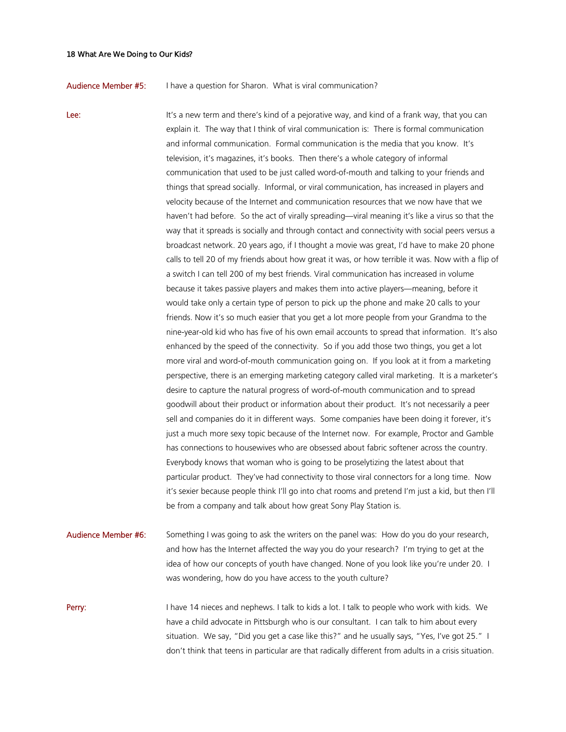### Audience Member #5: I have a question for Sharon. What is viral communication?

Lee: It's a new term and there's kind of a pejorative way, and kind of a frank way, that you can explain it. The way that I think of viral communication is: There is formal communication and informal communication. Formal communication is the media that you know. It's television, it's magazines, it's books. Then there's a whole category of informal communication that used to be just called word-of-mouth and talking to your friends and things that spread socially. Informal, or viral communication, has increased in players and velocity because of the Internet and communication resources that we now have that we haven't had before. So the act of virally spreading—viral meaning it's like a virus so that the way that it spreads is socially and through contact and connectivity with social peers versus a broadcast network. 20 years ago, if I thought a movie was great, I'd have to make 20 phone calls to tell 20 of my friends about how great it was, or how terrible it was. Now with a flip of a switch I can tell 200 of my best friends. Viral communication has increased in volume because it takes passive players and makes them into active players—meaning, before it would take only a certain type of person to pick up the phone and make 20 calls to your friends. Now it's so much easier that you get a lot more people from your Grandma to the nine-year-old kid who has five of his own email accounts to spread that information. It's also enhanced by the speed of the connectivity. So if you add those two things, you get a lot more viral and word-of-mouth communication going on. If you look at it from a marketing perspective, there is an emerging marketing category called viral marketing. It is a marketer's desire to capture the natural progress of word-of-mouth communication and to spread goodwill about their product or information about their product. It's not necessarily a peer sell and companies do it in different ways. Some companies have been doing it forever, it's just a much more sexy topic because of the Internet now. For example, Proctor and Gamble has connections to housewives who are obsessed about fabric softener across the country. Everybody knows that woman who is going to be proselytizing the latest about that particular product. They've had connectivity to those viral connectors for a long time. Now it's sexier because people think I'll go into chat rooms and pretend I'm just a kid, but then I'll be from a company and talk about how great Sony Play Station is.

Audience Member #6: Something I was going to ask the writers on the panel was: How do you do your research, and how has the Internet affected the way you do your research? I'm trying to get at the idea of how our concepts of youth have changed. None of you look like you're under 20. I was wondering, how do you have access to the youth culture?

**Perry:** I have 14 nieces and nephews. I talk to kids a lot. I talk to people who work with kids. We have a child advocate in Pittsburgh who is our consultant. I can talk to him about every situation. We say, "Did you get a case like this?" and he usually says, "Yes, I've got 25." I don't think that teens in particular are that radically different from adults in a crisis situation.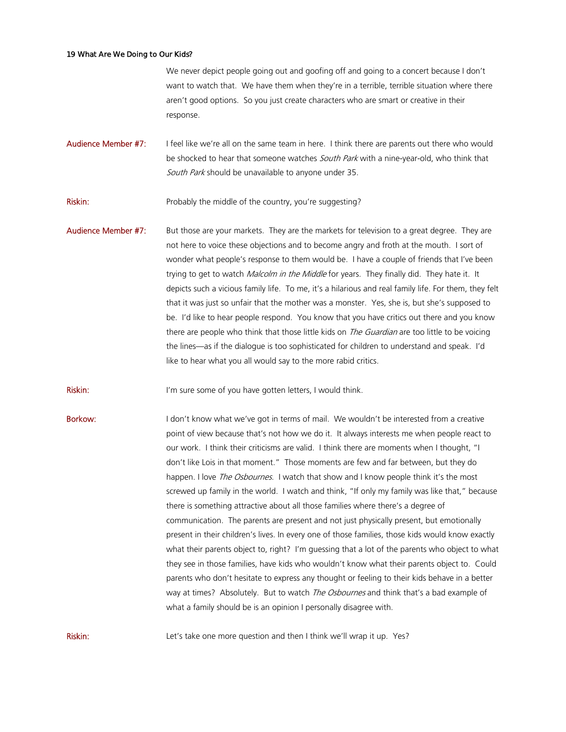We never depict people going out and goofing off and going to a concert because I don't want to watch that. We have them when they're in a terrible, terrible situation where there aren't good options. So you just create characters who are smart or creative in their response.

Audience Member #7: I feel like we're all on the same team in here. I think there are parents out there who would be shocked to hear that someone watches South Park with a nine-year-old, who think that South Park should be unavailable to anyone under 35.

**Riskin:** Probably the middle of the country, you're suggesting?

Audience Member #7: But those are your markets. They are the markets for television to a great degree. They are not here to voice these objections and to become angry and froth at the mouth. I sort of wonder what people's response to them would be. I have a couple of friends that I've been trying to get to watch Malcolm in the Middle for years. They finally did. They hate it. It depicts such a vicious family life. To me, it's a hilarious and real family life. For them, they felt that it was just so unfair that the mother was a monster. Yes, she is, but she's supposed to be. I'd like to hear people respond. You know that you have critics out there and you know there are people who think that those little kids on *The Guardian* are too little to be voicing the lines—as if the dialogue is too sophisticated for children to understand and speak. I'd like to hear what you all would say to the more rabid critics.

Riskin: I'm sure some of you have gotten letters, I would think.

Borkow: I don't know what we've got in terms of mail. We wouldn't be interested from a creative point of view because that's not how we do it. It always interests me when people react to our work. I think their criticisms are valid. I think there are moments when I thought, "I don't like Lois in that moment." Those moments are few and far between, but they do happen. I love *The Osbournes*. I watch that show and I know people think it's the most screwed up family in the world. I watch and think, "If only my family was like that," because there is something attractive about all those families where there's a degree of communication. The parents are present and not just physically present, but emotionally present in their children's lives. In every one of those families, those kids would know exactly what their parents object to, right? I'm guessing that a lot of the parents who object to what they see in those families, have kids who wouldn't know what their parents object to. Could parents who don't hesitate to express any thought or feeling to their kids behave in a better way at times? Absolutely. But to watch *The Osbournes* and think that's a bad example of what a family should be is an opinion I personally disagree with.

Riskin: Let's take one more question and then I think we'll wrap it up. Yes?